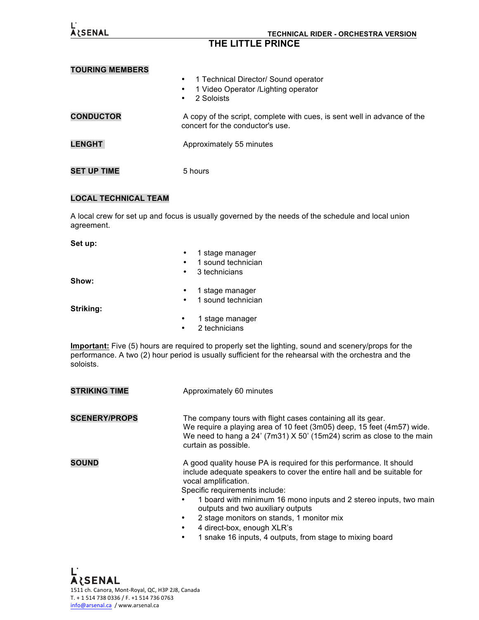| <b>ARSENAL</b>         | <b>TECHNICAL RIDER - ORCHESTRA VERSION</b><br>THE LITTLE PRINCE                                                           |  |
|------------------------|---------------------------------------------------------------------------------------------------------------------------|--|
| <b>TOURING MEMBERS</b> |                                                                                                                           |  |
|                        | 1 Technical Director/ Sound operator<br>$\bullet$<br>1 Video Operator / Lighting operator<br>٠<br>2 Soloists<br>$\bullet$ |  |
| <b>CONDUCTOR</b>       | A copy of the script, complete with cues, is sent well in advance of the<br>concert for the conductor's use.              |  |
| <b>LENGHT</b>          | Approximately 55 minutes                                                                                                  |  |
| <b>SET UP TIME</b>     | 5 hours                                                                                                                   |  |

## **LOCAL TECHNICAL TEAM**

A local crew for set up and focus is usually governed by the needs of the schedule and local union agreement.

|           | 1 stage manager    |
|-----------|--------------------|
|           | 1 sound technician |
| $\bullet$ | 3 technicians      |
|           |                    |
| $\bullet$ | 1 stage manager    |
| $\bullet$ | 1 sound technician |
|           |                    |
|           | 1 stage manager    |
|           | 2 technicians      |
|           |                    |

**Important:** Five (5) hours are required to properly set the lighting, sound and scenery/props for the performance. A two (2) hour period is usually sufficient for the rehearsal with the orchestra and the soloists.

| <b>STRIKING TIME</b> | Approximately 60 minutes                                                                                                                                                                                                                                                                                                                                                                     |
|----------------------|----------------------------------------------------------------------------------------------------------------------------------------------------------------------------------------------------------------------------------------------------------------------------------------------------------------------------------------------------------------------------------------------|
| <b>SCENERY/PROPS</b> | The company tours with flight cases containing all its gear.<br>We require a playing area of 10 feet (3m05) deep, 15 feet (4m57) wide.<br>We need to hang a $24'$ (7m31) X 50' (15m24) scrim as close to the main<br>curtain as possible.                                                                                                                                                    |
| <b>SOUND</b>         | A good quality house PA is required for this performance. It should<br>include adequate speakers to cover the entire hall and be suitable for<br>vocal amplification.<br>Specific requirements include:<br>1 board with minimum 16 mono inputs and 2 stereo inputs, two main<br>outputs and two auxiliary outputs<br>2 stage monitors on stands, 1 monitor mix<br>4 direct-box, enough XLR's |

• 1 snake 16 inputs, 4 outputs, from stage to mixing board

Ľ A LSENAL<br>1511 ch. Canora, Mont-Royal, QC, H3P 2J8, Canada T. + 1 514 738 0336 / F. +1 514 736 0763 info@arsenal.ca / www.arsenal.ca